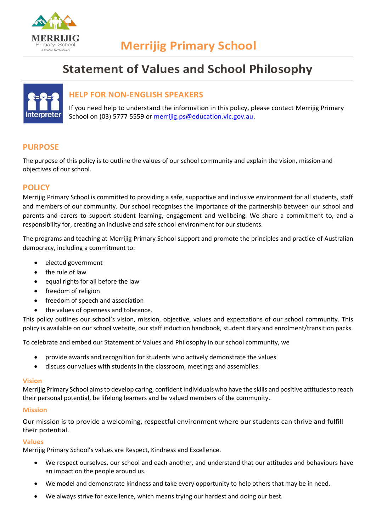

# **Statement of Values and School Philosophy**



# **HELP FOR NON-ENGLISH SPEAKERS**

If you need help to understand the information in this policy, please contact Merrijig Primary School on (03) 5777 5559 or [merrijig.ps@education.vic.gov.au.](mailto:merrijig.ps@education.vic.gov.au)

## **PURPOSE**

The purpose of this policy is to outline the values of our school community and explain the vision, mission and objectives of our school.

## **POLICY**

Merrijig Primary School is committed to providing a safe, supportive and inclusive environment for all students, staff and members of our community. Our school recognises the importance of the partnership between our school and parents and carers to support student learning, engagement and wellbeing. We share a commitment to, and a responsibility for, creating an inclusive and safe school environment for our students.

The programs and teaching at Merrijig Primary School support and promote the principles and practice of Australian democracy, including a commitment to:

- elected government
- the rule of law
- equal rights for all before the law
- freedom of religion
- freedom of speech and association
- the values of openness and tolerance.

This policy outlines our school's vision, mission, objective, values and expectations of our school community. This policy is available on our school website, our staff induction handbook, student diary and enrolment/transition packs.

To celebrate and embed our Statement of Values and Philosophy in our school community, we

- provide awards and recognition for students who actively demonstrate the values
- discuss our values with students in the classroom, meetings and assemblies.

#### **Vision**

Merrijig Primary School aims to develop caring, confident individuals who have the skills and positive attitudes to reach their personal potential, be lifelong learners and be valued members of the community.

#### **Mission**

Our mission is to provide a welcoming, respectful environment where our students can thrive and fulfill their potential.

#### **Values**

Merrijig Primary School's values are Respect, Kindness and Excellence.

- We respect ourselves, our school and each another, and understand that our attitudes and behaviours have an impact on the people around us.
- We model and demonstrate kindness and take every opportunity to help others that may be in need.
- We always strive for excellence, which means trying our hardest and doing our best.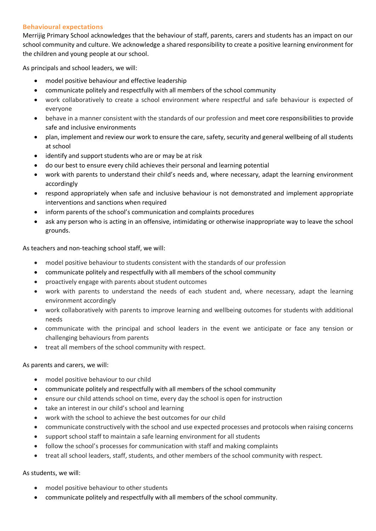### **Behavioural expectations**

Merrijig Primary School acknowledges that the behaviour of staff, parents, carers and students has an impact on our school community and culture. We acknowledge a shared responsibility to create a positive learning environment for the children and young people at our school.

As principals and school leaders, we will:

- model positive behaviour and effective leadership
- communicate politely and respectfully with all members of the school community
- work collaboratively to create a school environment where respectful and safe behaviour is expected of everyone
- behave in a manner consistent with the standards of our profession and meet core responsibilities to provide safe and inclusive environments
- plan, implement and review our work to ensure the care, safety, security and general wellbeing of all students at school
- identify and support students who are or may be at risk
- do our best to ensure every child achieves their personal and learning potential
- work with parents to understand their child's needs and, where necessary, adapt the learning environment accordingly
- respond appropriately when safe and inclusive behaviour is not demonstrated and implement appropriate interventions and sanctions when required
- inform parents of the school's communication and complaints procedures
- ask any person who is acting in an offensive, intimidating or otherwise inappropriate way to leave the school grounds.

As teachers and non-teaching school staff, we will:

- model positive behaviour to students consistent with the standards of our profession
- communicate politely and respectfully with all members of the school community
- proactively engage with parents about student outcomes
- work with parents to understand the needs of each student and, where necessary, adapt the learning environment accordingly
- work collaboratively with parents to improve learning and wellbeing outcomes for students with additional needs
- communicate with the principal and school leaders in the event we anticipate or face any tension or challenging behaviours from parents
- treat all members of the school community with respect.

As parents and carers, we will:

- model positive behaviour to our child
- communicate politely and respectfully with all members of the school community
- ensure our child attends school on time, every day the school is open for instruction
- take an interest in our child's school and learning
- work with the school to achieve the best outcomes for our child
- communicate constructively with the school and use expected processes and protocols when raising concerns
- support school staff to maintain a safe learning environment for all students
- follow the school's processes for communication with staff and making complaints
- treat all school leaders, staff, students, and other members of the school community with respect.

As students, we will:

- model positive behaviour to other students
- communicate politely and respectfully with all members of the school community.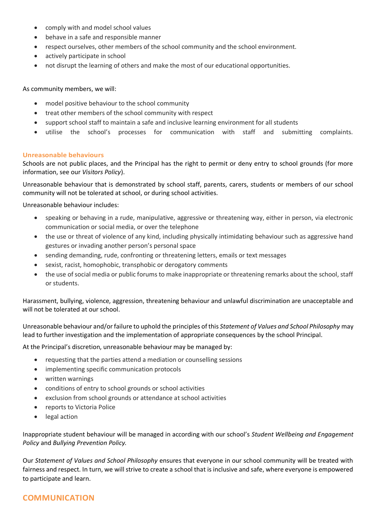- comply with and model school values
- behave in a safe and responsible manner
- respect ourselves, other members of the school community and the school environment.
- actively participate in school
- not disrupt the learning of others and make the most of our educational opportunities.

As community members, we will:

- model positive behaviour to the school community
- treat other members of the school community with respect
- support school staff to maintain a safe and inclusive learning environment for all students
- utilise the school's processes for communication with staff and submitting complaints.

#### **Unreasonable behaviours**

Schools are not public places, and the Principal has the right to permit or deny entry to school grounds (for more information, see our *Visitors Policy*).

Unreasonable behaviour that is demonstrated by school staff, parents, carers, students or members of our school community will not be tolerated at school, or during school activities.

Unreasonable behaviour includes:

- speaking or behaving in a rude, manipulative, aggressive or threatening way, either in person, via electronic communication or social media, or over the telephone
- the use or threat of violence of any kind, including physically intimidating behaviour such as aggressive hand gestures or invading another person's personal space
- sending demanding, rude, confronting or threatening letters, emails or text messages
- sexist, racist, homophobic, transphobic or derogatory comments
- the use of social media or public forums to make inappropriate or threatening remarks about the school, staff or students.

Harassment, bullying, violence, aggression, threatening behaviour and unlawful discrimination are unacceptable and will not be tolerated at our school.

Unreasonable behaviour and/or failure to uphold the principles of this *Statement of Values and School Philosophy* may lead to further investigation and the implementation of appropriate consequences by the school Principal.

At the Principal's discretion, unreasonable behaviour may be managed by:

- requesting that the parties attend a mediation or counselling sessions
- implementing specific communication protocols
- written warnings
- conditions of entry to school grounds or school activities
- exclusion from school grounds or attendance at school activities
- reports to Victoria Police
- legal action

Inappropriate student behaviour will be managed in according with our school's *Student Wellbeing and Engagement Policy* and *Bullying Prevention Policy.*

Our *Statement of Values and School Philosophy* ensures that everyone in our school community will be treated with fairness and respect. In turn, we will strive to create a school that is inclusive and safe, where everyone is empowered to participate and learn.

## **COMMUNICATION**